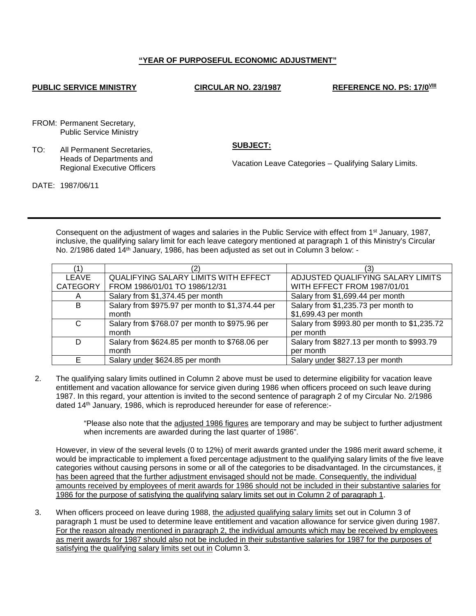## **"YEAR OF PURPOSEFUL ECONOMIC ADJUSTMENT"**

## **PUBLIC SERVICE MINISTRY CIRCULAR NO. 23/1987 REFERENCE NO. PS: 17/0<sup>VIII</sup>**

FROM: Permanent Secretary, Public Service Ministry

DATE: 1987/06/11

TO: All Permanent Secretaries, Heads of Departments and Regional Executive Officers **SUBJECT:**

Vacation Leave Categories – Qualifying Salary Limits.

Consequent on the adjustment of wages and salaries in the Public Service with effect from 1<sup>st</sup> January, 1987, inclusive, the qualifying salary limit for each leave category mentioned at paragraph 1 of this Ministry's Circular No. 2/1986 dated 14th January, 1986, has been adjusted as set out in Column 3 below: -

| LEAVE           | <b>QUALIFYING SALARY LIMITS WITH EFFECT</b>      | ADJUSTED QUALIFYING SALARY LIMITS            |
|-----------------|--------------------------------------------------|----------------------------------------------|
| <b>CATEGORY</b> | FROM 1986/01/01 TO 1986/12/31                    | WITH EFFECT FROM 1987/01/01                  |
| A               | Salary from \$1,374.45 per month                 | Salary from \$1,699.44 per month             |
| B               | Salary from \$975.97 per month to \$1,374.44 per | Salary from \$1,235.73 per month to          |
|                 | month                                            | \$1,699.43 per month                         |
| C               | Salary from \$768.07 per month to \$975.96 per   | Salary from \$993.80 per month to \$1,235.72 |
|                 | month                                            | per month                                    |
| D               | Salary from \$624.85 per month to \$768.06 per   | Salary from \$827.13 per month to \$993.79   |
|                 | month                                            | per month                                    |
|                 | Salary under \$624.85 per month                  | Salary under \$827.13 per month              |

2. The qualifying salary limits outlined in Column 2 above must be used to determine eligibility for vacation leave entitlement and vacation allowance for service given during 1986 when officers proceed on such leave during 1987. In this regard, your attention is invited to the second sentence of paragraph 2 of my Circular No. 2/1986 dated 14th January, 1986, which is reproduced hereunder for ease of reference:-

> "Please also note that the adjusted 1986 figures are temporary and may be subject to further adjustment when increments are awarded during the last quarter of 1986".

However, in view of the several levels (0 to 12%) of merit awards granted under the 1986 merit award scheme, it would be impracticable to implement a fixed percentage adjustment to the qualifying salary limits of the five leave categories without causing persons in some or all of the categories to be disadvantaged. In the circumstances, it has been agreed that the further adjustment envisaged should not be made. Consequently, the individual amounts received by employees of merit awards for 1986 should not be included in their substantive salaries for 1986 for the purpose of satisfying the qualifying salary limits set out in Column 2 of paragraph 1.

3. When officers proceed on leave during 1988, the adjusted qualifying salary limits set out in Column 3 of paragraph 1 must be used to determine leave entitlement and vacation allowance for service given during 1987. For the reason already mentioned in paragraph 2, the individual amounts which may be received by employees as merit awards for 1987 should also not be included in their substantive salaries for 1987 for the purposes of satisfying the qualifying salary limits set out in Column 3.